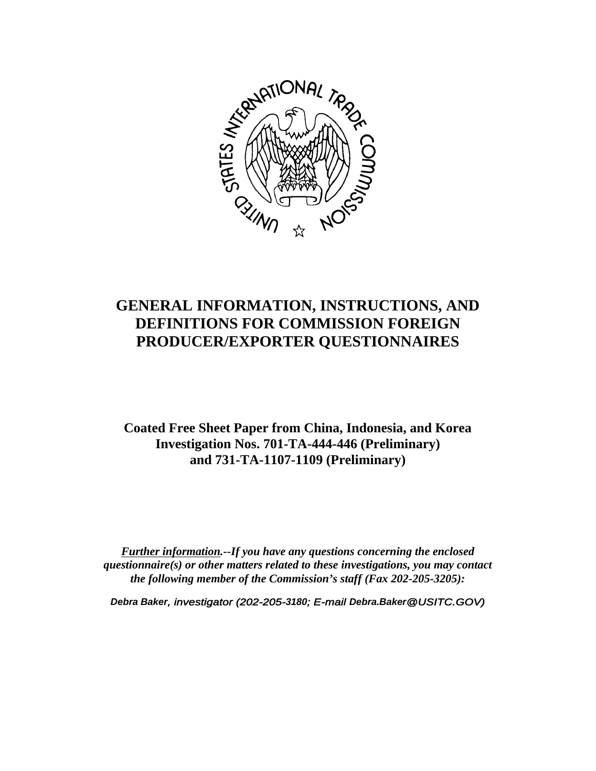

# **GENERAL INFORMATION, INSTRUCTIONS, AND DEFINITIONS FOR COMMISSION FOREIGN PRODUCER/EXPORTER QUESTIONNAIRES**

**Coated Free Sheet Paper from China, Indonesia, and Korea Investigation Nos. 701-TA-444-446 (Preliminary) and 731-TA-1107-1109 (Preliminary)**

*Further information.--If you have any questions concerning the enclosed questionnaire(s) or other matters related to these investigations, you may contact the following member of the Commission's staff (Fax 202-205-3205):*

*Debra Baker, investigator (202-205-3180; E-mail Debra.Baker@USITC.GOV)*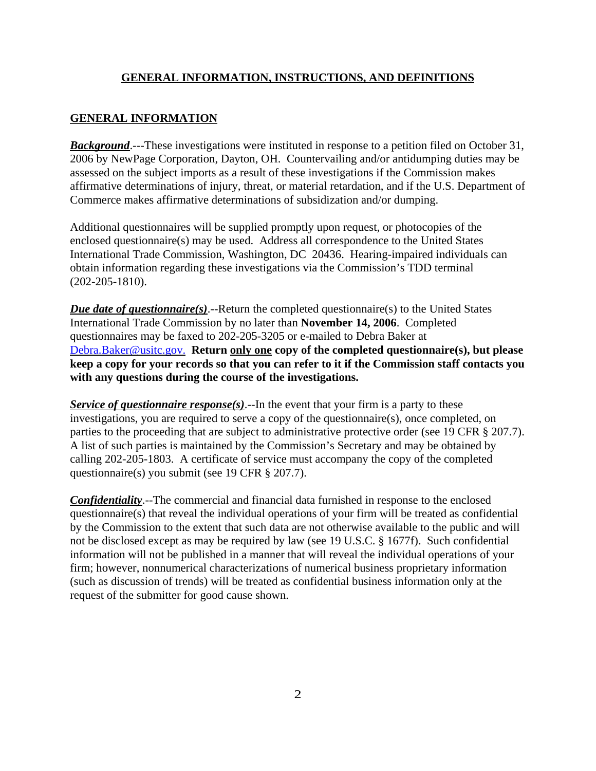## **GENERAL INFORMATION, INSTRUCTIONS, AND DEFINITIONS**

### **GENERAL INFORMATION**

*Background*.---These investigations were instituted in response to a petition filed on October 31, 2006 by NewPage Corporation, Dayton, OH. Countervailing and/or antidumping duties may be assessed on the subject imports as a result of these investigations if the Commission makes affirmative determinations of injury, threat, or material retardation, and if the U.S. Department of Commerce makes affirmative determinations of subsidization and/or dumping.

Additional questionnaires will be supplied promptly upon request, or photocopies of the enclosed questionnaire(s) may be used. Address all correspondence to the United States International Trade Commission, Washington, DC 20436. Hearing-impaired individuals can obtain information regarding these investigations via the Commission's TDD terminal (202-205-1810).

*Due date of questionnaire(s)*.--Return the completed questionnaire(s) to the United States International Trade Commission by no later than **November 14, 2006**. Completed questionnaires may be faxed to 202-205-3205 or e-mailed to Debra Baker at Debra.Baker@usitc.gov. **Return only one copy of the completed questionnaire(s), but please keep a copy for your records so that you can refer to it if the Commission staff contacts you with any questions during the course of the investigations.**

*Service of questionnaire response(s)*.--In the event that your firm is a party to these investigations, you are required to serve a copy of the questionnaire(s), once completed, on parties to the proceeding that are subject to administrative protective order (see 19 CFR § 207.7). A list of such parties is maintained by the Commission's Secretary and may be obtained by calling 202-205-1803. A certificate of service must accompany the copy of the completed questionnaire(s) you submit (see 19 CFR § 207.7).

*Confidentiality*.--The commercial and financial data furnished in response to the enclosed questionnaire(s) that reveal the individual operations of your firm will be treated as confidential by the Commission to the extent that such data are not otherwise available to the public and will not be disclosed except as may be required by law (see 19 U.S.C. § 1677f). Such confidential information will not be published in a manner that will reveal the individual operations of your firm; however, nonnumerical characterizations of numerical business proprietary information (such as discussion of trends) will be treated as confidential business information only at the request of the submitter for good cause shown.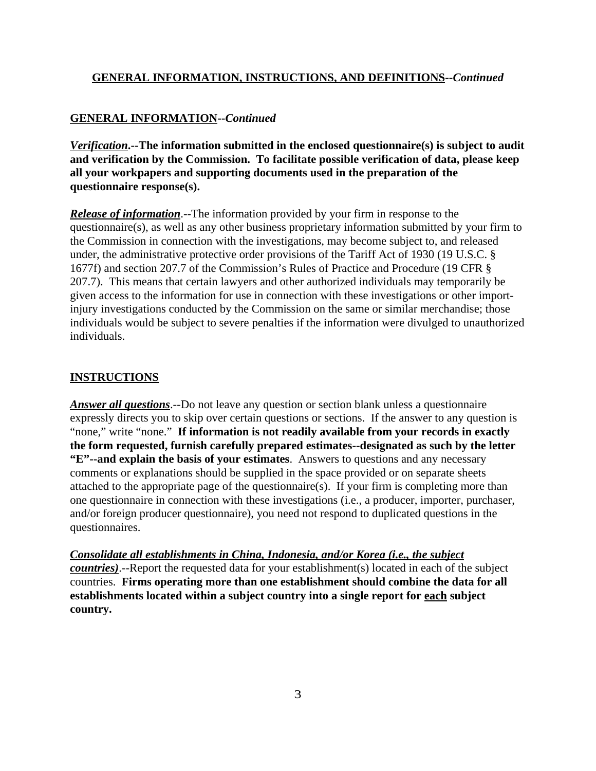### **GENERAL INFORMATION, INSTRUCTIONS, AND DEFINITIONS--***Continued*

## **GENERAL INFORMATION--***Continued*

*Verification***.--The information submitted in the enclosed questionnaire(s) is subject to audit and verification by the Commission. To facilitate possible verification of data, please keep all your workpapers and supporting documents used in the preparation of the questionnaire response(s).**

*Release of information*.--The information provided by your firm in response to the questionnaire(s), as well as any other business proprietary information submitted by your firm to the Commission in connection with the investigations, may become subject to, and released under, the administrative protective order provisions of the Tariff Act of 1930 (19 U.S.C. § 1677f) and section 207.7 of the Commission's Rules of Practice and Procedure (19 CFR § 207.7). This means that certain lawyers and other authorized individuals may temporarily be given access to the information for use in connection with these investigations or other importinjury investigations conducted by the Commission on the same or similar merchandise; those individuals would be subject to severe penalties if the information were divulged to unauthorized individuals.

### **INSTRUCTIONS**

*Answer all questions*.--Do not leave any question or section blank unless a questionnaire expressly directs you to skip over certain questions or sections. If the answer to any question is "none," write "none." **If information is not readily available from your records in exactly the form requested, furnish carefully prepared estimates--designated as such by the letter "E"--and explain the basis of your estimates**. Answers to questions and any necessary comments or explanations should be supplied in the space provided or on separate sheets attached to the appropriate page of the questionnaire(s). If your firm is completing more than one questionnaire in connection with these investigations (i.e., a producer, importer, purchaser, and/or foreign producer questionnaire), you need not respond to duplicated questions in the questionnaires.

*Consolidate all establishments in China, Indonesia, and/or Korea (i.e., the subject countries)*.--Report the requested data for your establishment(s) located in each of the subject countries. **Firms operating more than one establishment should combine the data for all establishments located within a subject country into a single report for each subject country.**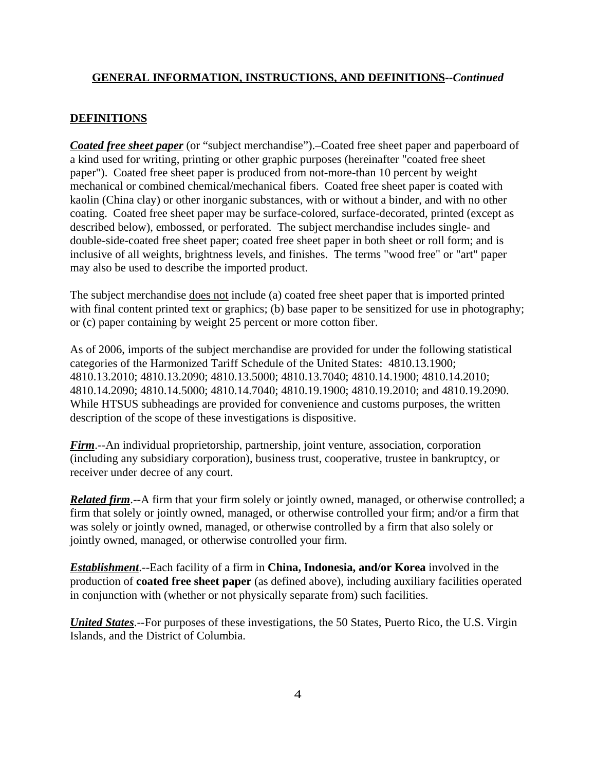#### **GENERAL INFORMATION, INSTRUCTIONS, AND DEFINITIONS--***Continued*

#### **DEFINITIONS**

*Coated free sheet paper* (or "subject merchandise").–Coated free sheet paper and paperboard of a kind used for writing, printing or other graphic purposes (hereinafter "coated free sheet paper"). Coated free sheet paper is produced from not-more-than 10 percent by weight mechanical or combined chemical/mechanical fibers. Coated free sheet paper is coated with kaolin (China clay) or other inorganic substances, with or without a binder, and with no other coating. Coated free sheet paper may be surface-colored, surface-decorated, printed (except as described below), embossed, or perforated. The subject merchandise includes single- and double-side-coated free sheet paper; coated free sheet paper in both sheet or roll form; and is inclusive of all weights, brightness levels, and finishes. The terms "wood free" or "art" paper may also be used to describe the imported product.

The subject merchandise does not include (a) coated free sheet paper that is imported printed with final content printed text or graphics; (b) base paper to be sensitized for use in photography; or (c) paper containing by weight 25 percent or more cotton fiber.

As of 2006, imports of the subject merchandise are provided for under the following statistical categories of the Harmonized Tariff Schedule of the United States: 4810.13.1900; 4810.13.2010; 4810.13.2090; 4810.13.5000; 4810.13.7040; 4810.14.1900; 4810.14.2010; 4810.14.2090; 4810.14.5000; 4810.14.7040; 4810.19.1900; 4810.19.2010; and 4810.19.2090. While HTSUS subheadings are provided for convenience and customs purposes, the written description of the scope of these investigations is dispositive.

*Firm*.--An individual proprietorship, partnership, joint venture, association, corporation (including any subsidiary corporation), business trust, cooperative, trustee in bankruptcy, or receiver under decree of any court.

*Related firm*.--A firm that your firm solely or jointly owned, managed, or otherwise controlled; a firm that solely or jointly owned, managed, or otherwise controlled your firm; and/or a firm that was solely or jointly owned, managed, or otherwise controlled by a firm that also solely or jointly owned, managed, or otherwise controlled your firm.

*Establishment*.--Each facility of a firm in **China, Indonesia, and/or Korea** involved in the production of **coated free sheet paper** (as defined above), including auxiliary facilities operated in conjunction with (whether or not physically separate from) such facilities.

*United States*.--For purposes of these investigations, the 50 States, Puerto Rico, the U.S. Virgin Islands, and the District of Columbia.